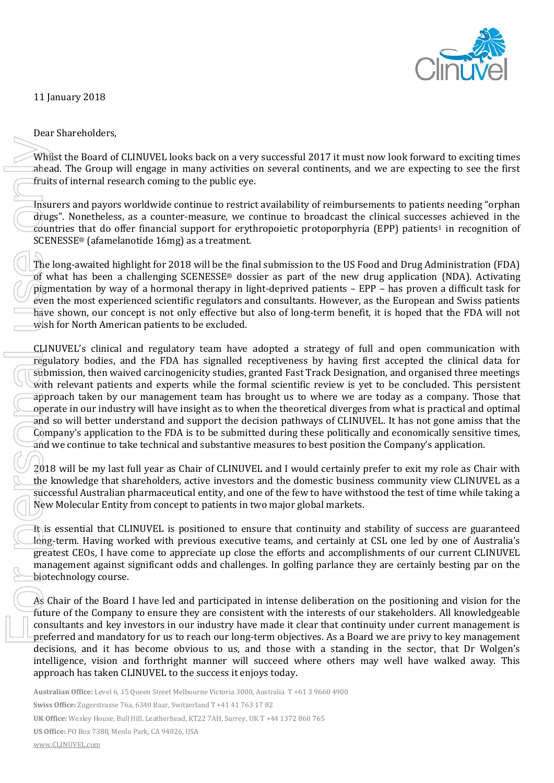

11 January 2018

Whilst the Board of CLINUVEL looks back on a very successful 2017 it must now look forward to exciting times ahead. The Group will engage in many activities on several continents, and we are expecting to see the first fruits of internal research coming to the public eye.

Insurers and payors worldwide continue to restrict availability of reimbursements to patients needing "orphan drugs". Nonetheless, as a counter-measure, we continue to broadcast the clinical successes achieved in the countries that do offer financial support for erythropoietic protoporphyria (EPP) patients<sup>1</sup> in recognition of SCENESSE® (afamelanotide 16mg) as a treatment.

The long-awaited highlight for 2018 will be the final submission to the US Food and Drug Administration (FDA) of what has been a challenging SCENESSE® dossier as part of the new drug application (NDA). Activating pigmentation by way of a hormonal therapy in light-deprived patients – EPP – has proven a difficult task for even the most experienced scientific regulators and consultants. However, as the European and Swiss patients have shown, our concept is not only effective but also of long-term benefit, it is hoped that the FDA will not wish for North American patients to be excluded.

CLINUVEL's clinical and regulatory team have adopted a strategy of full and open communication with regulatory bodies, and the FDA has signalled receptiveness by having first accepted the clinical data for submission, then waived carcinogenicity studies, granted Fast Track Designation, and organised three meetings with relevant patients and experts while the formal scientific review is yet to be concluded. This persistent approach taken by our management team has brought us to where we are today as a company. Those that operate in our industry will have insight as to when the theoretical diverges from what is practical and optimal and so will better understand and support the decision pathways of CLINUVEL. It has not gone amiss that the Company's application to the FDA is to be submitted during these politically and economically sensitive times, and we continue to take technical and substantive measures to best position the Company's application. Whilst the Board of CLINUVEL looks back on a very success<br>an ead. The Group will engage in many activities on severa<br>
Truits of internal reasont continue to entitine the public eye.<br>
Insurers and payors worldwide continue

2018 will be my last full year as Chair of CLINUVEL and I would certainly prefer to exit my role as Chair with the knowledge that shareholders, active investors and the domestic business community view CLINUVEL as a successful Australian pharmaceutical entity, and one of the few to have withstood the test of time while taking a New Molecular Entity from concept to patients in two major global markets.

It is essential that CLINUVEL is positioned to ensure that continuity and stability of success are guaranteed long-term. Having worked with previous executive teams, and certainly at CSL one led by one of Australia's greatest CEOs, I have come to appreciate up close the efforts and accomplishments of our current CLINUVEL management against significant odds and challenges. In golfing parlance they are certainly besting par on the biotechnology course.

As Chair of the Board I have led and participated in intense deliberation on the positioning and vision for the future of the Company to ensure they are consistent with the interests of our stakeholders. All knowledgeable consultants and key investors in our industry have made it clear that continuity under current management is preferred and mandatory for us to reach our long-term objectives. As a Board we are privy to key management decisions, and it has become obvious to us, and those with a standing in the sector, that Dr Wolgen's intelligence, vision and forthright manner will succeed where others may well have walked away. This

**Australian Office:** Level 6, 15 Queen Street Melbourne Victoria 3000, Australia T +61 3 9660 4900

**Swiss Office:** Zugerstrasse 76a, 6340 Baar, Switzerland T +41 41 763 17 82

**UK Office:** Wesley House, Bull Hill, Leatherhead, KT22 7AH, Surrey, UK T +44 1372 860 765

**US Office:** PO Box 7388, Menlo Park, CA 94026, USA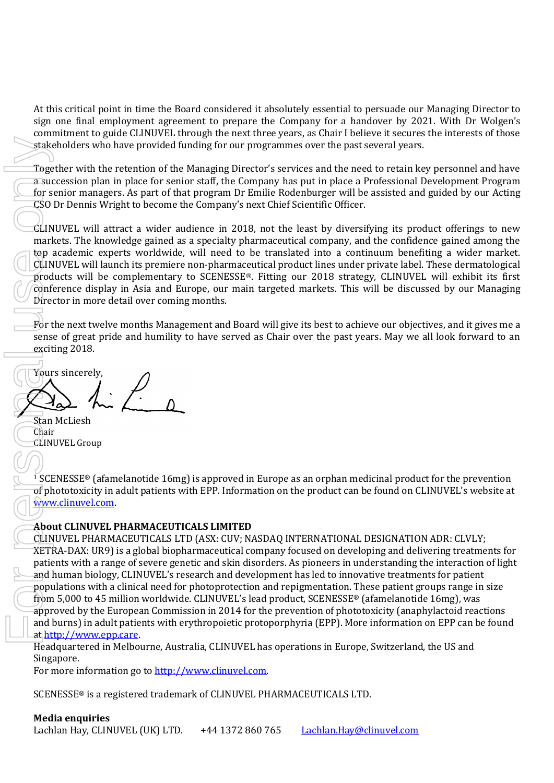At this critical point in time the Board considered it absolutely essential to persuade our Managing Director to sign one final employment agreement to prepare the Company for a handover by 2021. With Dr Wolgen's commitment to guide CLINUVEL through the next three years, as Chair I believe it secures the interests of those stakeholders who have provided funding for our programmes over the past several years.

Together with the retention of the Managing Director's services and the need to retain key personnel and have a succession plan in place for senior staff, the Company has put in place a Professional Development Program for senior managers. As part of that program Dr Emilie Rodenburger will be assisted and guided by our Acting CSO Dr Dennis Wright to become the Company's next Chief Scientific Officer.

 $CLINUVEL$  will attract a wider audience in 2018, not the least by diversifying its product offerings to new markets. The knowledge gained as a specialty pharmaceutical company, and the confidence gained among the top academic experts worldwide, will need to be translated into a continuum benefiting a wider market. CLINUVEL will launch its premiere non-pharmaceutical product lines under private label. These dermatological products will be complementary to SCENESSE®. Fitting our 2018 strategy, CLINUVEL will exhibit its first conference display in Asia and Europe, our main targeted markets. This will be discussed by our Managing Director in more detail over coming months.

For the next twelve months Management and Board will give its best to achieve our objectives, and it gives me a sense of great pride and humility to have served as Chair over the past years. May we all look forward to an exciting 2018.

Yours sincerely,

Stan McLiesh Chair CLINUVEL Group

<sup>1</sup> SCENESSE<sup>®</sup> (afamelanotide 16mg) is approved in Europe as an orphan medicinal product for the prevention of phototoxicity in adult patients with EPP. Information on the product can be found on CLINUVEL's website at [www.clinuvel.com.](http://www.clinuvel.com/)

## **About CLINUVEL PHARMACEUTICALS LIMITED**

CLINUVEL PHARMACEUTICALS LTD (ASX: CUV; NASDAQ INTERNATIONAL DESIGNATION ADR: CLVLY; XETRA-DAX: UR9) is a global biopharmaceutical company focused on developing and delivering treatments for patients with a range of severe genetic and skin disorders. As pioneers in understanding the interaction of light and human biology, CLINUVEL's research and development has led to innovative treatments for patient populations with a clinical need for photoprotection and repigmentation. These patient groups range in size from 5,000 to 45 million worldwide. CLINUVEL's lead product, SCENESSE<sup>®</sup> (afamelanotide 16mg), was approved by the European Commission in 2014 for the prevention of phototoxicity (anaphylactoid reactions and burns) in adult patients with erythropoietic protoporphyria (EPP). More information on EPP can be found a[t http://www.epp.care.](http://www.epp.care/) Systelechnilets who have provided funding for our programmes over the past several year<br>
Tragenter with the restantion of the Maraging Director's services and the need to restant of the Company has put in place a Professi

Headquartered in Melbourne, Australia, CLINUVEL has operations in Europe, Switzerland, the US and Singapore.

For more information go to [http://www.clinuvel.com.](http://www.clinuvel.com/)

SCENESSE® is a registered trademark of CLINUVEL PHARMACEUTICALS LTD.

**Media enquiries**